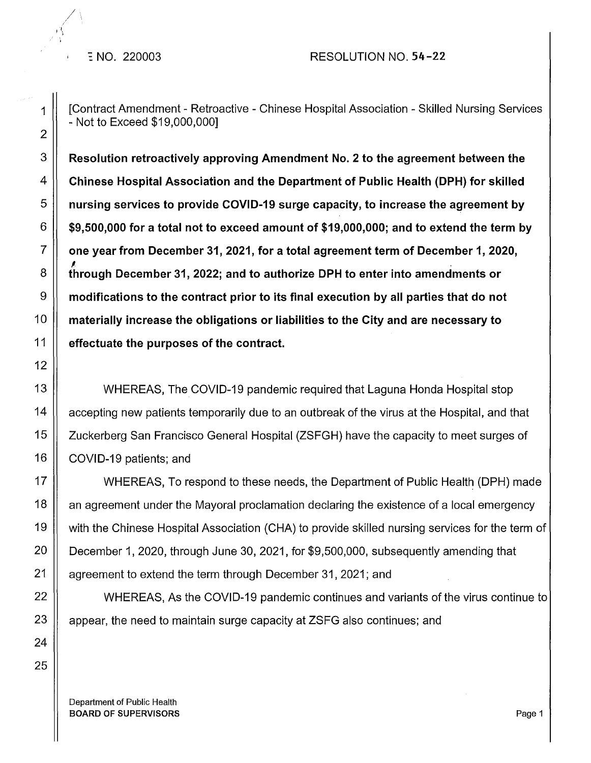*/ ...* 

·1 J \

1 | [Contract Amendment - Retroactive - Chinese Hospital Association - Skilled Nursing Services - Not to Exceed \$19,000,000]

 $3 \parallel$  Resolution retroactively approving Amendment No. 2 to the agreement between the  $4 \parallel~$  Chinese Hospital Association and the Department of Public Health (DPH) for skilled  $5$   $\parallel$  nursing services to provide COVID-19 surge capacity, to increase the agreement by  $6 \parallel$  \$9,500,000 for a total not to exceed amount of \$19,000,000; and to extend the term by  $\begin{bmatrix} 7 \end{bmatrix}$  one year from December 31, 2021, for a total agreement term of December 1, 2020,<br>8 through December 31, 2022; and to authorize DPH to enter into amendments or  $9 \parallel$  modifications to the contract prior to its final execution by all parties that do not  $10$   $\parallel$  materially increase the obligations or liabilities to the City and are necessary to  $11$   $\parallel$  effectuate the purposes of the contract.

13 ||<br>
WHEREAS, The COVID-19 pandemic required that Laguna Honda Hospital stop 14 | accepting new patients temporarily due to an outbreak of the virus at the Hospital, and that 15 | Zuckerberg San Francisco General Hospital (ZSFGH) have the capacity to meet surges of 16 | COVID-19 patients; and

17 || WHEREAS, To respond to these needs, the Department of Public Health (DPH) made 18  $\parallel$  an agreement under the Mayoral proclamation declaring the existence of a local emergency 19 with the Chinese Hospital Association (CHA) to provide skilled nursing services for the term of 20  $\parallel$  December 1, 2020, through June 30, 2021, for \$9,500,000, subsequently amending that 21 | agreement to extend the term through December 31, 2021; and

22 WHEREAS, As the COVID-19 pandemic continues and variants of the virus continue to 23  $\parallel$  appear, the need to maintain surge capacity at ZSFG also continues; and

Department of Public Health BOARD OF SUPERVISORS And the state of the state of the state of the state of the state of the state of the state of the state of the state of the state of the state of the state of the state of the state of the state of th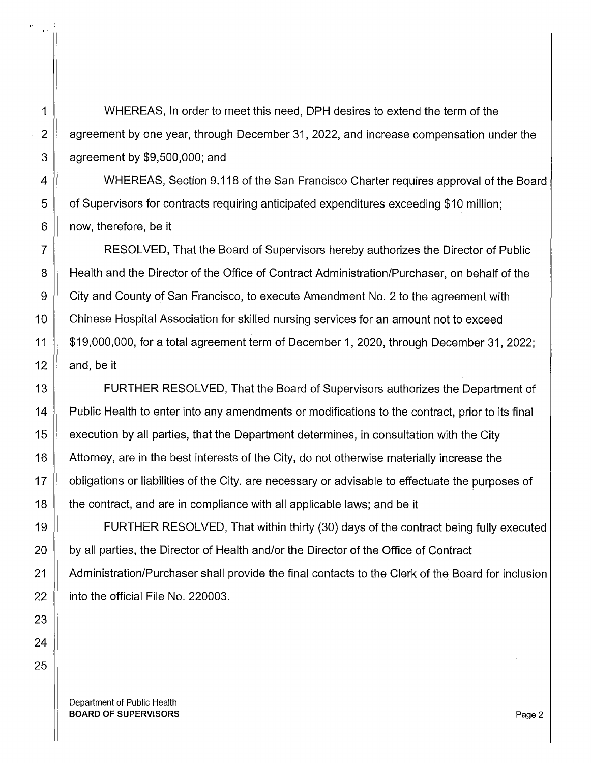1 WHEREAS, In order to meet this need, DPH desires to extend the term of the 2 | agreement by one year, through December 31, 2022, and increase compensation under the  $3 \parallel$  agreement by \$9,500,000; and

4 || WHEREAS, Section 9.118 of the San Francisco Charter requires approval of the Board 5 | of Supervisors for contracts requiring anticipated expenditures exceeding \$10 million;  $6 \parallel$  now, therefore, be it

7 RESOLVED, That the Board of Supervisors hereby authorizes the Director of Public 8 H Health and the Director of the Office of Contract Administration/Purchaser, on behalf of the 9 | City and County of San Francisco, to execute Amendment No. 2 to the agreement with 10 | Chinese Hospital Association for skilled nursing services for an amount not to exceed 11 \$19,000,000, for a total agreement term of December 1, 2020, through December 31, 2022; 12  $\parallel$  and, be it

13 | FURTHER RESOLVED, That the Board of Supervisors authorizes the Department of 14 | Public Health to enter into any amendments or modifications to the contract, prior to its final 15 | execution by all parties, that the Department determines, in consultation with the City 16 | Attorney, are in the best interests of the City, do not otherwise materially increase the 17 | obligations or liabilities of the City, are necessary or advisable to effectuate the purposes of 18 | the contract, and are in compliance with all applicable laws; and be it

19 FURTHER RESOLVED, That within thirty (30) days of the contract being fully executed 20 | by all parties, the Director of Health and/or the Director of the Office of Contract 21 Administration/Purchaser shall provide the final contacts to the Clerk of the Board for inclusion  $22$  | into the official File No. 220003.

Department of Public Health BOARD OF SUPERVISORS **Page 2**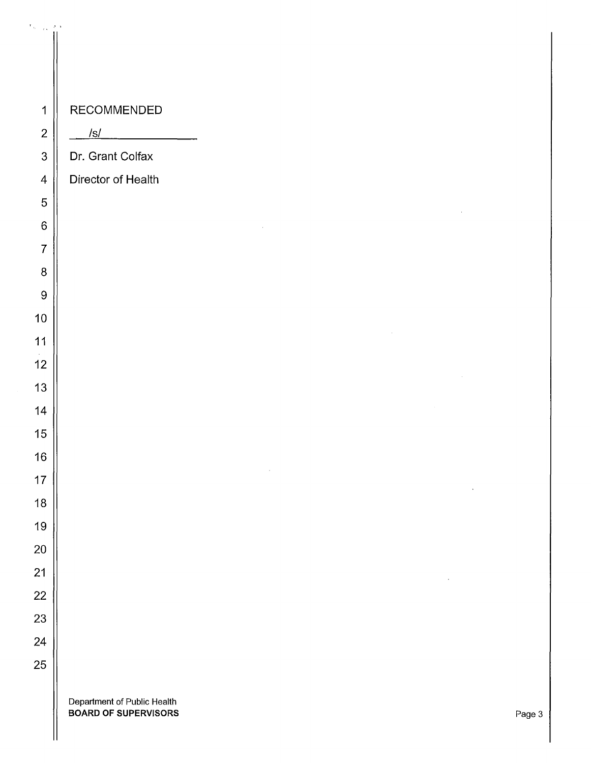| $\sigma_{\rm{in}} = \frac{1}{12}$ |                                                     |  |        |        |        |
|-----------------------------------|-----------------------------------------------------|--|--------|--------|--------|
|                                   |                                                     |  |        |        |        |
|                                   |                                                     |  |        |        |        |
|                                   |                                                     |  |        |        |        |
| $\mathbf 1$                       | RECOMMENDED                                         |  |        |        |        |
| $\boldsymbol{2}$                  | /s/                                                 |  |        |        |        |
| $\mathbf{3}$                      | Dr. Grant Colfax                                    |  |        |        |        |
| $\overline{4}$                    | Director of Health                                  |  |        |        |        |
| $\mathbf 5$                       |                                                     |  |        |        |        |
| $\,6\,$                           |                                                     |  |        |        |        |
| $\overline{7}$                    |                                                     |  |        |        |        |
| $\, 8$                            |                                                     |  |        |        |        |
| $\overline{9}$                    |                                                     |  |        |        |        |
| $10\,$                            |                                                     |  |        |        |        |
| 11                                |                                                     |  | $\sim$ |        |        |
| 12                                |                                                     |  |        |        |        |
| 13                                |                                                     |  |        |        |        |
| 14                                |                                                     |  |        | $\sim$ |        |
| 15                                |                                                     |  |        |        |        |
| 16                                |                                                     |  |        |        |        |
| 17                                |                                                     |  |        |        |        |
| 18                                |                                                     |  |        |        |        |
| 19                                |                                                     |  |        |        |        |
| $20\,$                            |                                                     |  |        |        |        |
| 21                                |                                                     |  |        |        |        |
| 22                                |                                                     |  |        |        |        |
| 23                                |                                                     |  |        |        |        |
| 24                                |                                                     |  |        |        |        |
| 25                                |                                                     |  |        |        |        |
|                                   |                                                     |  |        |        |        |
|                                   | Department of Public Health<br>BOARD OF SUPERVISORS |  |        |        | Page 3 |

 $\parallel$